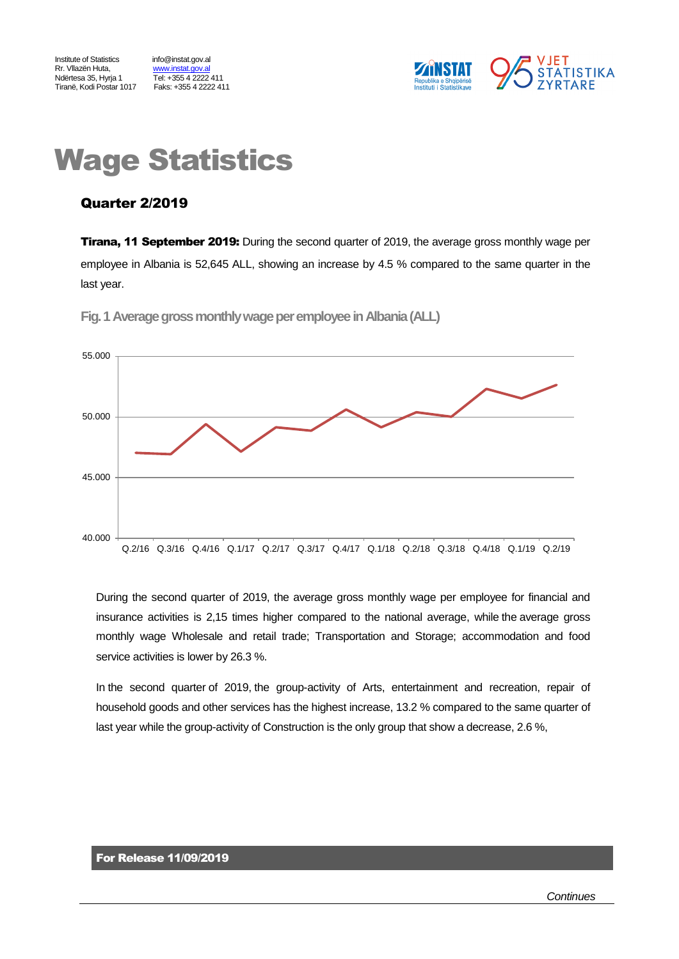Institute of Statistics info@instat.gov.al Rr. Vllazën Huta, metaloristat.gov.al<br>Ndërtesa 35. Hyria 1 Tiranë, Kodi Postar 1017

<u>Himmiscangona</u><br>Tel: +355 4 2222 411<br>Faks: +355 4 2222 411



# Wage Statistics

## Quarter 2/2019

**Tirana, 11 September 2019:** During the second quarter of 2019, the average gross monthly wage per employee in Albania is 52,645 ALL, showing an increase by 4.5 % compared to the same quarter in the last year.



**Fig.1Average gross monthly wage per employeein Albania(ALL)**

During the second quarter of 2019, the average gross monthly wage per employee for financial and insurance activities is 2,15 times higher compared to the national average, while the average gross monthly wage Wholesale and retail trade; Transportation and Storage; accommodation and food service activities is lower by 26.3 %.

In the second quarter of 2019, the group-activity of Arts, entertainment and recreation, repair of household goods and other services has the highest increase, 13.2 % compared to the same quarter of last year while the group-activity of Construction is the only group that show a decrease, 2.6 %,

#### For Release 11/09/2019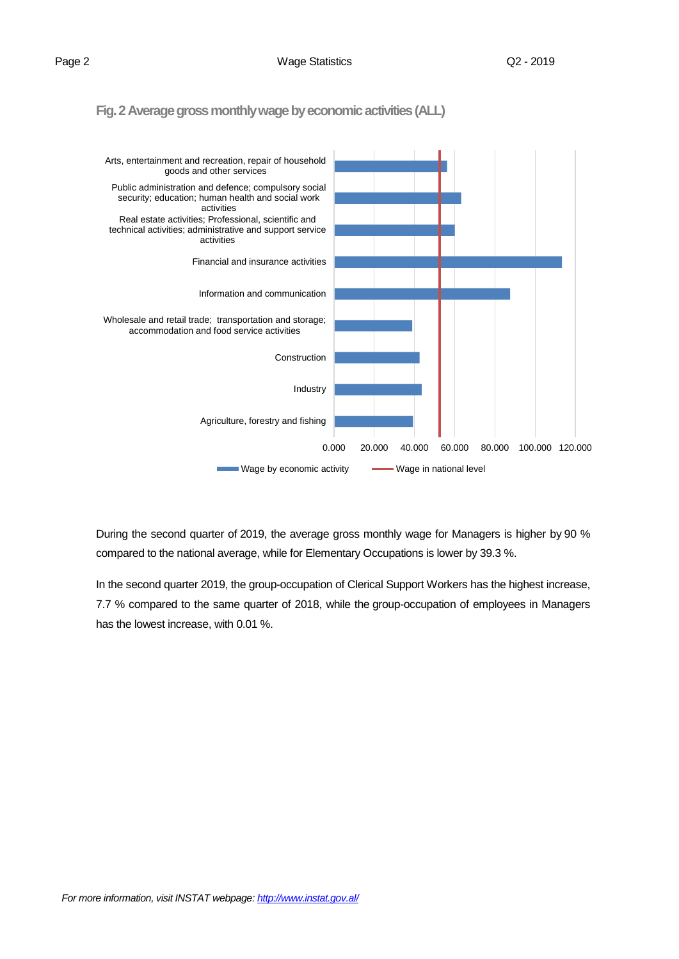**Fig. 2 Average gross monthly wage by economic activities(ALL)**



During the second quarter of 2019, the average gross monthly wage for Managers is higher by 90 % compared to the national average, while for Elementary Occupations is lower by 39.3 %.

In the second quarter 2019, the group-occupation of Clerical Support Workers has the highest increase, 7.7 % compared to the same quarter of 2018, while the group-occupation of employees in Managers has the lowest increase, with 0.01 %.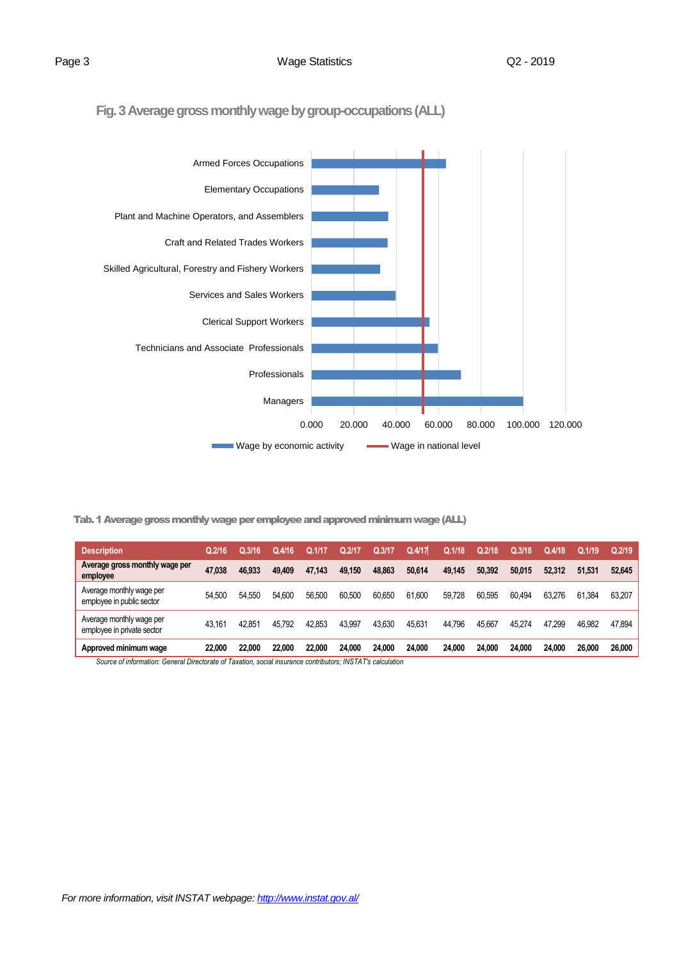**Fig. 3Average gross monthly wage by group-occupations(ALL)**



Tab. 1 Average gross monthly wage per employee and approved minimum wage (ALL)

| <b>Description</b>                                     | Q.2/16 | Q.3/16' | Q.4/16 | Q.1/1  | Q.2/1  | Q.3/1  | Q.4/17 | Q.1/18 | Q.2/18 | Q.3/18 | Q.4/18 | Q.1/19 | Q.2/19 |
|--------------------------------------------------------|--------|---------|--------|--------|--------|--------|--------|--------|--------|--------|--------|--------|--------|
| Average gross monthly wage per<br>employee             | 47.038 | 46.933  | 49.409 | 47.143 | 49.150 | 48.863 | 50.614 | 49.145 | 50.392 | 50.015 | 52.312 | 51.531 | 52.645 |
| Average monthly wage per<br>employee in public sector  | 54.500 | 54.550  | 54.600 | 56.500 | 60.500 | 60.650 | 61.600 | 59.728 | 60.595 | 60.494 | 63.276 | 61.384 | 63.207 |
| Average monthly wage per<br>employee in private sector | 43.161 | 42.851  | 45.792 | 42.853 | 43,997 | 43,630 | 45.631 | 44.796 | 45.667 | 45.274 | 47.299 | 46.982 | 47,894 |
| Approved minimum wage                                  | 22,000 | 22.000  | 22.000 | 22.000 | 24.000 | 24.000 | 24,000 | 24.000 | 24.000 | 24.000 | 24.000 | 26.000 | 26,000 |

*Source of information: General Directorate of Taxation, social insurance contributors; INSTAT's calculation*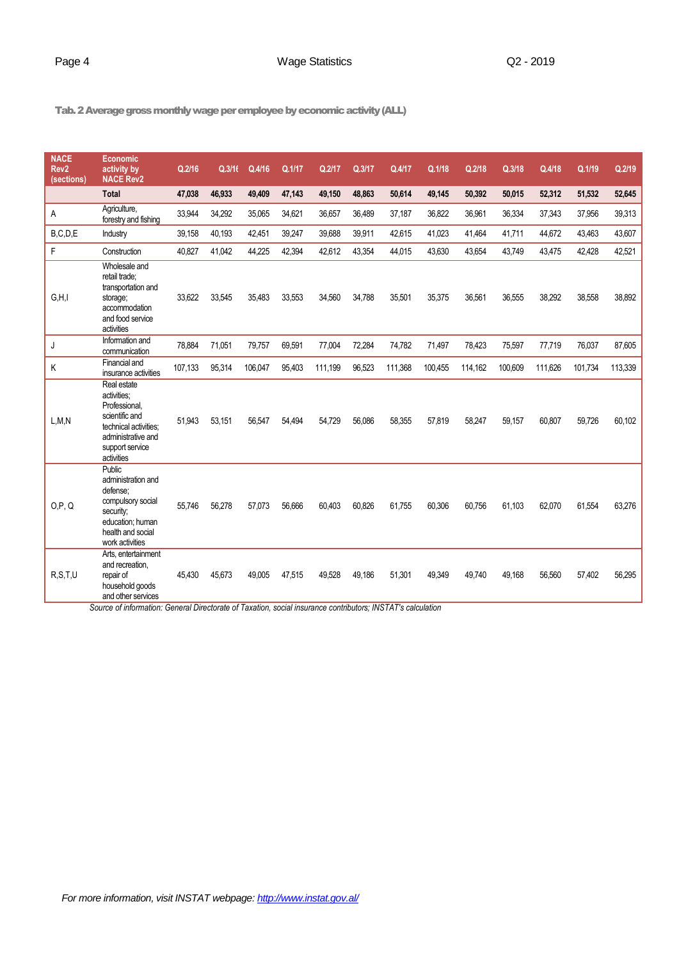### Page 4 Case Contract Contract Contract Contract Contract Contract Contract Contract Contract Contract Contract Contract Contract Contract Contract Contract Contract Contract Contract Contract Contract Contract Contract Con

Tab. 2 Average gross monthly wage per employee by economic activity(ALL)

| <b>NACE</b><br>Rev <sub>2</sub><br>(sections) | <b>Economic</b><br>activity by<br><b>NACE Rev2</b>                                                                                            | Q.2/16  | Q.3/16 | Q.4/16  | Q.1/17 | Q.2/17  | Q.3/17 | Q.4/17  | Q.1/18  | Q.2/18  | Q.3/18  | Q.4/18  | Q.1/19  | Q.2/19  |
|-----------------------------------------------|-----------------------------------------------------------------------------------------------------------------------------------------------|---------|--------|---------|--------|---------|--------|---------|---------|---------|---------|---------|---------|---------|
|                                               | <b>Total</b>                                                                                                                                  | 47,038  | 46,933 | 49,409  | 47,143 | 49,150  | 48,863 | 50,614  | 49,145  | 50,392  | 50,015  | 52,312  | 51,532  | 52,645  |
| Α                                             | Agriculture,<br>forestry and fishing                                                                                                          | 33,944  | 34,292 | 35,065  | 34,621 | 36,657  | 36,489 | 37,187  | 36,822  | 36,961  | 36,334  | 37,343  | 37,956  | 39,313  |
| B, C, D, E                                    | Industry                                                                                                                                      | 39,158  | 40,193 | 42,451  | 39,247 | 39,688  | 39,911 | 42,615  | 41,023  | 41,464  | 41,711  | 44,672  | 43.463  | 43,607  |
| F                                             | Construction                                                                                                                                  | 40,827  | 41,042 | 44,225  | 42,394 | 42,612  | 43,354 | 44,015  | 43,630  | 43,654  | 43,749  | 43,475  | 42,428  | 42,521  |
| G.H.I                                         | Wholesale and<br>retail trade:<br>transportation and<br>storage;<br>accommodation<br>and food service<br>activities                           | 33.622  | 33,545 | 35,483  | 33,553 | 34,560  | 34,788 | 35,501  | 35,375  | 36,561  | 36,555  | 38,292  | 38,558  | 38,892  |
| J                                             | Information and<br>communication                                                                                                              | 78,884  | 71,051 | 79,757  | 69,591 | 77,004  | 72,284 | 74,782  | 71,497  | 78,423  | 75,597  | 77,719  | 76,037  | 87,605  |
| Κ                                             | Financial and<br>insurance activities                                                                                                         | 107,133 | 95,314 | 106,047 | 95,403 | 111,199 | 96,523 | 111,368 | 100,455 | 114,162 | 100,609 | 111,626 | 101,734 | 113,339 |
| L, M, N                                       | Real estate<br>activities:<br>Professional.<br>scientific and<br>technical activities:<br>administrative and<br>support service<br>activities | 51,943  | 53,151 | 56,547  | 54,494 | 54,729  | 56,086 | 58,355  | 57,819  | 58,247  | 59,157  | 60,807  | 59,726  | 60,102  |
| O,P,Q                                         | <b>Public</b><br>administration and<br>defense:<br>compulsory social<br>security;<br>education: human<br>health and social<br>work activities | 55.746  | 56.278 | 57.073  | 56.666 | 60.403  | 60.826 | 61,755  | 60,306  | 60.756  | 61.103  | 62.070  | 61,554  | 63,276  |
| R.S.T.U                                       | Arts. entertainment<br>and recreation,<br>repair of<br>household goods<br>and other services                                                  | 45.430  | 45.673 | 49,005  | 47,515 | 49.528  | 49,186 | 51,301  | 49,349  | 49.740  | 49.168  | 56.560  | 57,402  | 56,295  |

*Source of information: General Directorate of Taxation, social insurance contributors; INSTAT's calculation*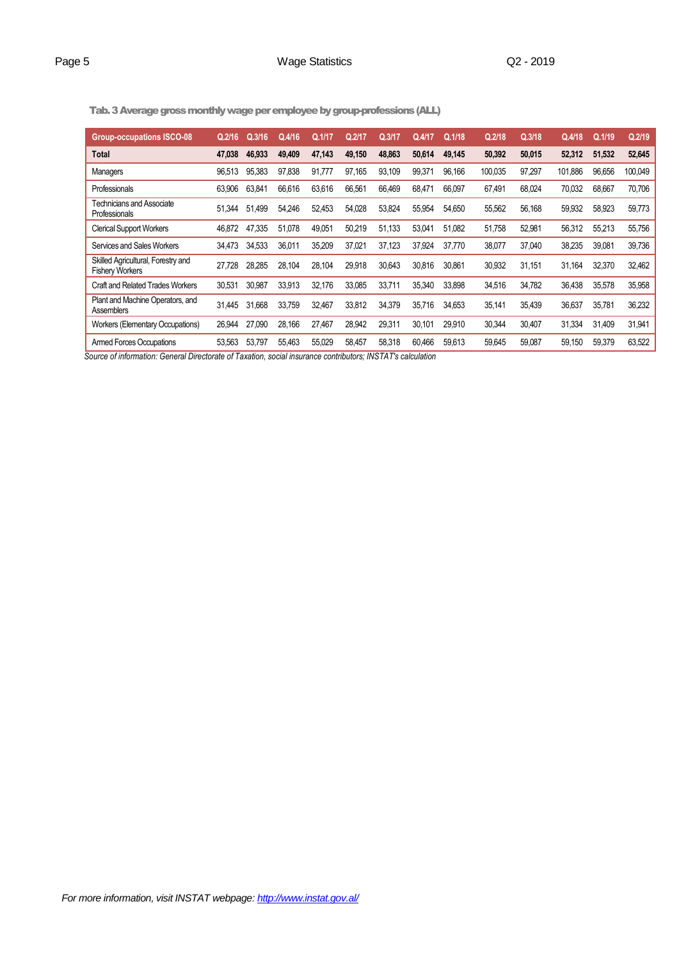### Page 5 and 2019 Wage Statistics COMEX COMEX COMEX COMEX COMEX COMEX COMEX COMEX COMEX COMEX COMEX COMEX COMEX COMEX COMEX COMEX COMEX COMEX COMEX COMEX COMEX COMEX COMEX COMEX COMEX COMEX COMEX COMEX COMEX COMEX COMEX COME

Tab. 3 Average gross monthly wage per employee by group-professions(ALL)

| <b>Group-occupations ISCO-08</b>                             | Q.2/16 | Q.3/16      | Q.4/16 | Q.1/17 | Q.2/17 | Q.3/17 | Q.4/17 | Q.1/18 | Q.2/18  | Q.3/18 | Q.4/18  | Q.1/19 | Q.2/19  |
|--------------------------------------------------------------|--------|-------------|--------|--------|--------|--------|--------|--------|---------|--------|---------|--------|---------|
| <b>Total</b>                                                 | 47.038 | 46.933      | 49.409 | 47,143 | 49.150 | 48,863 | 50.614 | 49.145 | 50,392  | 50,015 | 52,312  | 51.532 | 52,645  |
| Managers                                                     | 96.513 | 95.383      | 97,838 | 91,777 | 97,165 | 93,109 | 99,37' | 96.166 | 100.035 | 97,297 | 101.886 | 96,656 | 100,049 |
| Professionals                                                | 63,906 | 63.841      | 66,616 | 63,616 | 66,561 | 66,469 | 68.471 | 66.097 | 67,491  | 68,024 | 70,032  | 68.667 | 70,706  |
| Technicians and Associate<br>Professionals                   | 51.344 | 51<br>1.499 | 54,246 | 52,453 | 54,028 | 53,824 | 55,954 | 54,650 | 55,562  | 56,168 | 59,932  | 58,923 | 59,773  |
| <b>Clerical Support Workers</b>                              | 46.872 | 47.335      | 51,078 | 49,051 | 50,219 | 51,133 | 53,041 | 51,082 | 51,758  | 52,981 | 56,312  | 55,213 | 55,756  |
| Services and Sales Workers                                   | 34.473 | 34,533      | 36.011 | 35,209 | 37,021 | 37,123 | 37,924 | 37.770 | 38,077  | 37,040 | 38,235  | 39,081 | 39,736  |
| Skilled Agricultural, Forestry and<br><b>Fishery Workers</b> | 27.728 | 28.285      | 28.104 | 28.104 | 29,918 | 30.643 | 30.816 | 30.861 | 30,932  | 31.151 | 31.164  | 32,370 | 32,462  |
| <b>Craft and Related Trades Workers</b>                      | 30.531 | 30.987      | 33,913 | 32.176 | 33,085 | 33.711 | 35.340 | 33.898 | 34,516  | 34,782 | 36.438  | 35,578 | 35,958  |
| Plant and Machine Operators, and<br><b>Assemblers</b>        | 31.445 | 31.668      | 33.759 | 32.467 | 33,812 | 34,379 | 35.716 | 34,653 | 35,141  | 35,439 | 36,637  | 35,781 | 36,232  |
| <b>Workers (Elementary Occupations)</b>                      | 26,944 | 27.090      | 28,166 | 27,467 | 28,942 | 29,311 | 30.101 | 29,910 | 30,344  | 30,407 | 31,334  | 31,409 | 31,941  |
| <b>Armed Forces Occupations</b>                              | 53.563 | 53,797      | 55,463 | 55,029 | 58,457 | 58,318 | 60,466 | 59,613 | 59,645  | 59,087 | 59,150  | 59,379 | 63,522  |

 *Source of information: General Directorate of Taxation, social insurance contributors; INSTAT's calculation*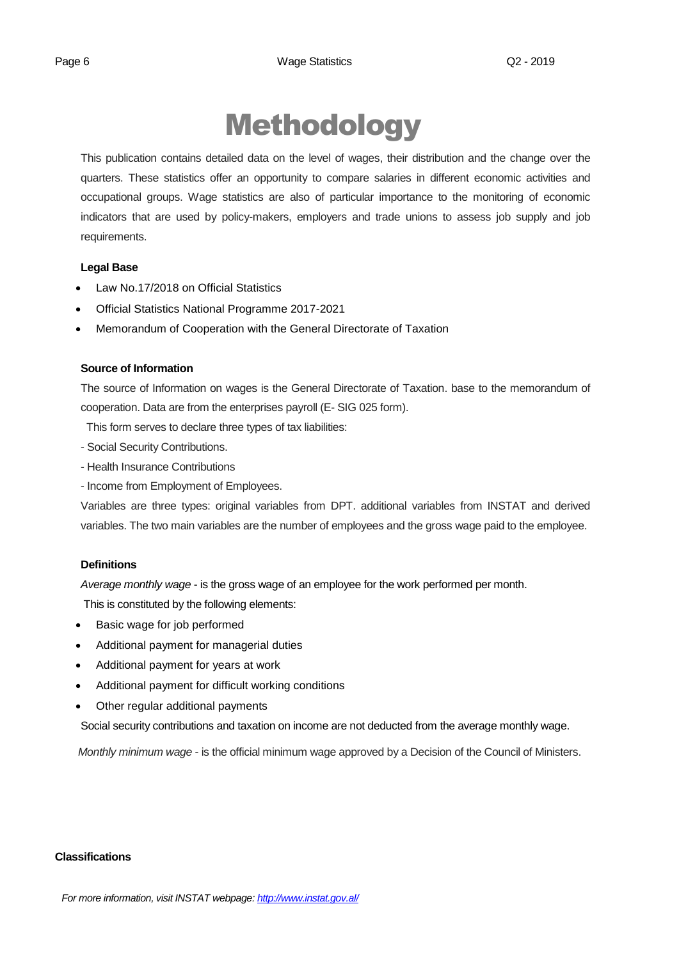# Methodology

This publication contains detailed data on the level of wages, their distribution and the change over the quarters. These statistics offer an opportunity to compare salaries in different economic activities and occupational groups. Wage statistics are also of particular importance to the monitoring of economic indicators that are used by policy-makers, employers and trade unions to assess job supply and job requirements.

#### **Legal Base**

- [Law No.17/2018 on Official Statistics](http://instat.gov.al/media/3972/law-no17-2018-on-official-statistics.pdf)
- Official Statistics National Programme 2017-2021
- Memorandum of Cooperation with the General Directorate of Taxation

### **Source of Information**

The source of Information on wages is the General Directorate of Taxation. base to the memorandum of cooperation. Data are from the enterprises payroll (E- SIG 025 form).

This form serves to declare three types of tax liabilities:

- Social Security Contributions.
- Health Insurance Contributions
- Income from Employment of Employees.

Variables are three types: original variables from DPT. additional variables from INSTAT and derived variables. The two main variables are the number of employees and the gross wage paid to the employee.

#### **Definitions**

*Average monthly wage* - is the gross wage of an employee for the work performed per month.

This is constituted by the following elements:

- Basic wage for job performed
- Additional payment for managerial duties
- Additional payment for years at work
- Additional payment for difficult working conditions
- Other regular additional payments

Social security contributions and taxation on income are not deducted from the average monthly wage.

*Monthly minimum wage* - is the official minimum wage approved by a Decision of the Council of Ministers.

#### **Classifications**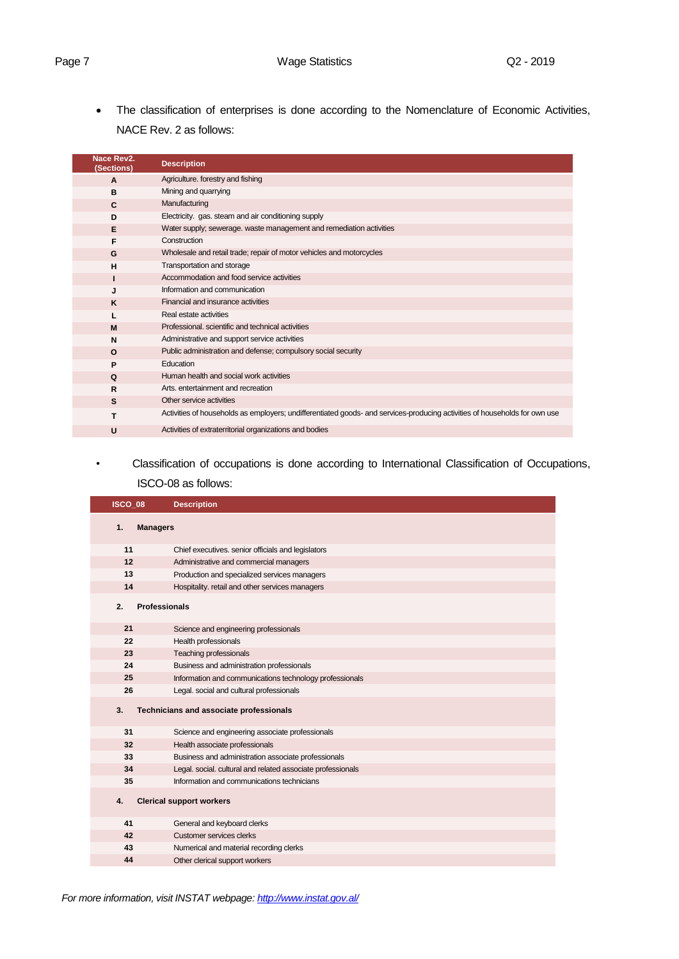• The classification of enterprises is done according to the Nomenclature of Economic Activities, NACE Rev. 2 as follows:

| Nace Rev2.<br>(Sections) | <b>Description</b>                                                                                                         |
|--------------------------|----------------------------------------------------------------------------------------------------------------------------|
| $\mathbf{A}$             | Agriculture. forestry and fishing                                                                                          |
| B                        | Mining and quarrying                                                                                                       |
| C                        | Manufacturing                                                                                                              |
| D                        | Electricity. gas. steam and air conditioning supply                                                                        |
| E                        | Water supply; sewerage. waste management and remediation activities                                                        |
| F                        | Construction                                                                                                               |
| G                        | Wholesale and retail trade; repair of motor vehicles and motorcycles                                                       |
| н                        | Transportation and storage                                                                                                 |
|                          | Accommodation and food service activities                                                                                  |
| J                        | Information and communication                                                                                              |
| K                        | Financial and insurance activities                                                                                         |
|                          | Real estate activities                                                                                                     |
| M                        | Professional, scientific and technical activities                                                                          |
| N                        | Administrative and support service activities                                                                              |
| $\Omega$                 | Public administration and defense; compulsory social security                                                              |
| P                        | Education                                                                                                                  |
| $\Omega$                 | Human health and social work activities                                                                                    |
| R                        | Arts, entertainment and recreation                                                                                         |
| S                        | Other service activities                                                                                                   |
| т                        | Activities of households as employers; undifferentiated goods- and services-producing activities of households for own use |
| U                        | Activities of extraterritorial organizations and bodies                                                                    |

## *•* Classification of occupations is done according to International Classification of Occupations, ISCO-08 as follows:

| ISCO 08 | <b>Description</b>                                          |
|---------|-------------------------------------------------------------|
| 1.      | <b>Managers</b>                                             |
| 11      | Chief executives. senior officials and legislators          |
| 12      | Administrative and commercial managers                      |
| 13      | Production and specialized services managers                |
| 14      | Hospitality. retail and other services managers             |
| 2.      | <b>Professionals</b>                                        |
| 21      | Science and engineering professionals                       |
| 22      | Health professionals                                        |
| 23      | Teaching professionals                                      |
| 24      | Business and administration professionals                   |
| 25      | Information and communications technology professionals     |
| 26      | Legal. social and cultural professionals                    |
| 3.      | Technicians and associate professionals                     |
| 31      | Science and engineering associate professionals             |
| 32      | Health associate professionals                              |
| 33      | Business and administration associate professionals         |
| 34      | Legal. social. cultural and related associate professionals |
| 35      | Information and communications technicians                  |
| 4.      | <b>Clerical support workers</b>                             |
| 41      | General and keyboard clerks                                 |
| 42      | Customer services clerks                                    |
| 43      | Numerical and material recording clerks                     |
| 44      | Other clerical support workers                              |